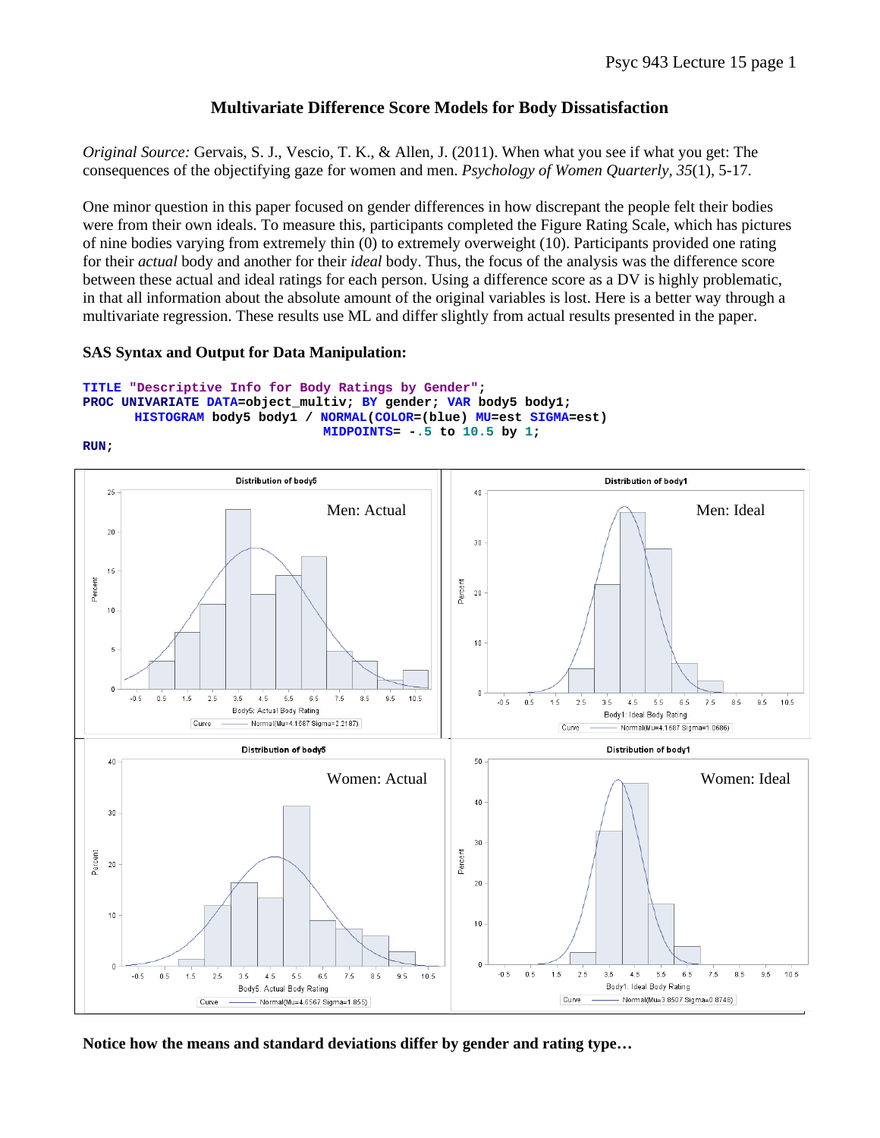## **Multivariate Difference Score Models for Body Dissatisfaction**

*Original Source:* Gervais, S. J., Vescio, T. K., & Allen, J. (2011). When what you see if what you get: The consequences of the objectifying gaze for women and men. *Psychology of Women Quarterly, 35*(1), 5-17.

One minor question in this paper focused on gender differences in how discrepant the people felt their bodies were from their own ideals. To measure this, participants completed the Figure Rating Scale, which has pictures of nine bodies varying from extremely thin (0) to extremely overweight (10). Participants provided one rating for their *actual* body and another for their *ideal* body. Thus, the focus of the analysis was the difference score between these actual and ideal ratings for each person. Using a difference score as a DV is highly problematic, in that all information about the absolute amount of the original variables is lost. Here is a better way through a multivariate regression. These results use ML and differ slightly from actual results presented in the paper.

### **SAS Syntax and Output for Data Manipulation:**

```
TITLE "Descriptive Info for Body Ratings by Gender"; 
PROC UNIVARIATE DATA=object_multiv; BY gender; VAR body5 body1; 
      HISTOGRAM body5 body1 / NORMAL(COLOR=(blue) MU=est SIGMA=est) 
                                MIDPOINTS= -.5 to 10.5 by 1;
```
**RUN;** 



**Notice how the means and standard deviations differ by gender and rating type…**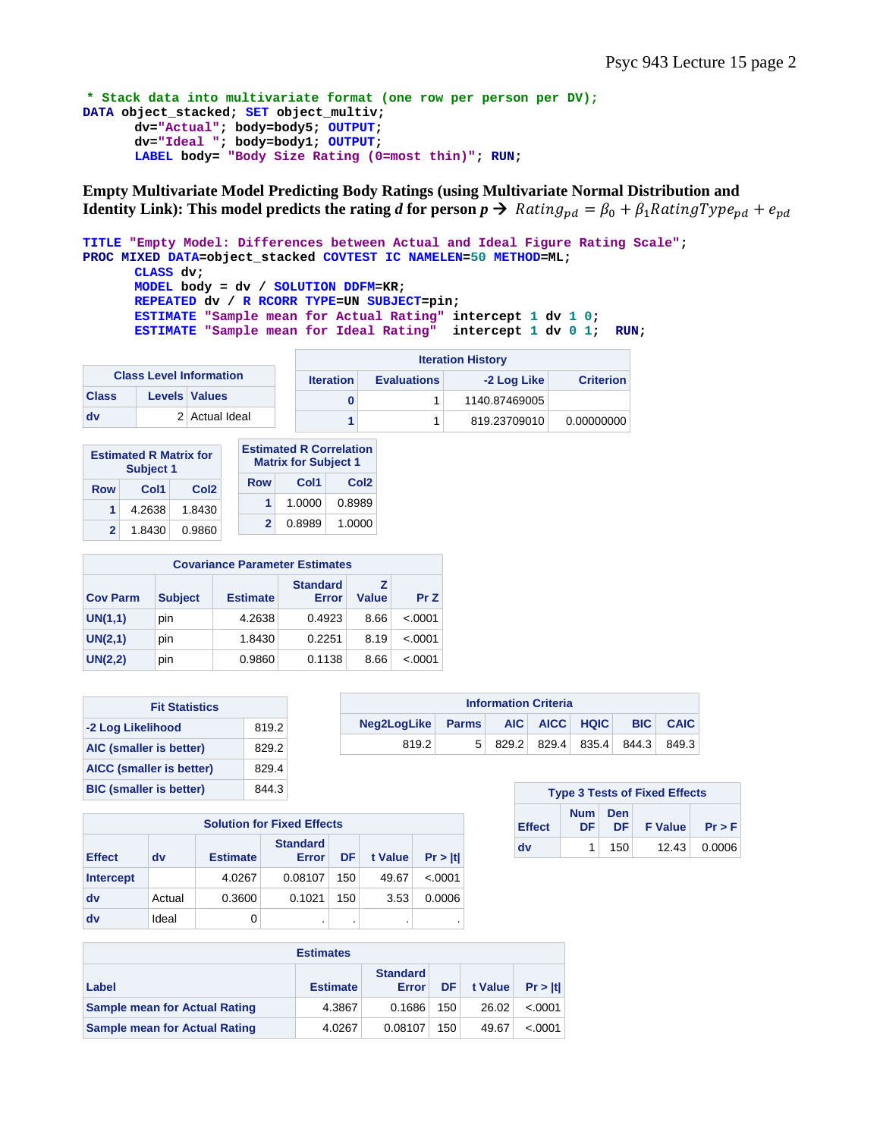```
* Stack data into multivariate format (one row per person per DV);
DATA object_stacked; SET object_multiv; 
       dv="Actual"; body=body5; OUTPUT; 
       dv="Ideal "; body=body1; OUTPUT; 
      LABEL body= "Body Size Rating (0=most thin)"; RUN;
```
**Empty Multivariate Model Predicting Body Ratings (using Multivariate Normal Distribution and Identity Link): This model predicts the rating** *d* **for person**  $p \rightarrow$  **Rating<sub>pd</sub> =**  $\beta_0 + \beta_1$ **RatingType<sub>pd</sub> + e<sub>pd</sub>** 

```
TITLE "Empty Model: Differences between Actual and Ideal Figure Rating Scale"; 
PROC MIXED DATA=object_stacked COVTEST IC NAMELEN=50 METHOD=ML; 
      CLASS dv; 
      MODEL body = dv / SOLUTION DDFM=KR; 
      REPEATED dv / R RCORR TYPE=UN SUBJECT=pin; 
      ESTIMATE "Sample mean for Actual Rating" intercept 1 dv 1 0; 
      ESTIMATE "Sample mean for Ideal Rating" intercept 1 dv 0 1; RUN;
```

|                                |  |                                                       | <b>Iteration History</b> |                  |            |  |  |
|--------------------------------|--|-------------------------------------------------------|--------------------------|------------------|------------|--|--|
| <b>Class Level Information</b> |  | -2 Log Like<br><b>Evaluations</b><br><b>Iteration</b> |                          | <b>Criterion</b> |            |  |  |
| <b>Class</b>                   |  | <b>Levels Values</b>                                  |                          | 1140.87469005    |            |  |  |
| dv                             |  | 2 Actual Ideal                                        |                          | 819.23709010     | 0.00000000 |  |  |

|     | <b>Estimated R Matrix for</b><br>Subject 1 |                  | <b>Estimated R Correlation</b><br><b>Matrix for Subject 1</b> |        |                  |  |
|-----|--------------------------------------------|------------------|---------------------------------------------------------------|--------|------------------|--|
| Row | Col1                                       | Col <sub>2</sub> | Row                                                           | Col1   | Col <sub>2</sub> |  |
| 1.  | 4.2638                                     | 1.8430           | 1.                                                            | 1.0000 | 0.8989           |  |
|     | 1.8430                                     | 0.9860           | 2                                                             | 0.8989 | 1.0000           |  |

| <b>Covariance Parameter Estimates</b> |                          |        |        |      |          |  |  |  |  |  |
|---------------------------------------|--------------------------|--------|--------|------|----------|--|--|--|--|--|
| <b>Cov Parm</b>                       | <b>Standard</b><br>Error | Value  | Pr Z   |      |          |  |  |  |  |  |
| UN(1,1)                               | pin                      | 4.2638 | 0.4923 | 8.66 | < .0001  |  |  |  |  |  |
| UN(2,1)                               | pin                      | 1.8430 | 0.2251 | 8.19 | $-.0001$ |  |  |  |  |  |
| UN(2,2)                               | pin                      | 0.9860 | 0.1138 | 8.66 | $-.0001$ |  |  |  |  |  |

| <b>Fit Statistics</b>          |       |  |  |  |  |  |
|--------------------------------|-------|--|--|--|--|--|
| -2 Log Likelihood              | 819.2 |  |  |  |  |  |
| AIC (smaller is better)        | 829.2 |  |  |  |  |  |
| AICC (smaller is better)       | 829.4 |  |  |  |  |  |
| <b>BIC</b> (smaller is better) | 844.3 |  |  |  |  |  |

| <b>Information Criteria</b>     |  |  |  |  |                                 |                 |  |  |  |  |
|---------------------------------|--|--|--|--|---------------------------------|-----------------|--|--|--|--|
| Neg2LogLike Parms AIC AICC HQIC |  |  |  |  |                                 | <b>BIC CAIC</b> |  |  |  |  |
| 819.2                           |  |  |  |  | 5 829.2 829.4 835.4 844.3 849.3 |                 |  |  |  |  |

| <b>Solution for Fixed Effects</b> |        |                 |                          |     |         |         |  |  |  |  |
|-----------------------------------|--------|-----------------|--------------------------|-----|---------|---------|--|--|--|--|
| <b>Effect</b>                     | dv     | <b>Estimate</b> | <b>Standard</b><br>Error | DF  | t Value | Pr >  t |  |  |  |  |
| <b>Intercept</b>                  |        | 4.0267          | 0.08107                  | 150 | 49.67   | < .0001 |  |  |  |  |
| dv                                | Actual | 0.3600          | 0.1021                   | 150 | 3.53    | 0.0006  |  |  |  |  |
| dv                                | Ideal  |                 | ٠                        | ٠   | ٠       |         |  |  |  |  |

| <b>Estimates</b>                     |                 |                                 |     |         |         |  |  |  |  |
|--------------------------------------|-----------------|---------------------------------|-----|---------|---------|--|--|--|--|
| Label                                | <b>Estimate</b> | <b>Standard</b><br><b>Error</b> | DF  | t Value | Pr >  t |  |  |  |  |
| <b>Sample mean for Actual Rating</b> | 4.3867          | 0.1686                          | 150 | 26.02   | < .0001 |  |  |  |  |
| <b>Sample mean for Actual Rating</b> | 4.0267          | 0.08107                         | 150 | 49.67   | < .0001 |  |  |  |  |

| <b>Type 3 Tests of Fixed Effects</b> |                |     |            |                    |  |  |  |  |  |
|--------------------------------------|----------------|-----|------------|--------------------|--|--|--|--|--|
| <b>Effect</b>                        | Num Den<br>DF. |     | DF F Value | Pr > F             |  |  |  |  |  |
| dv                                   |                | 150 |            | $12.43 \pm 0.0006$ |  |  |  |  |  |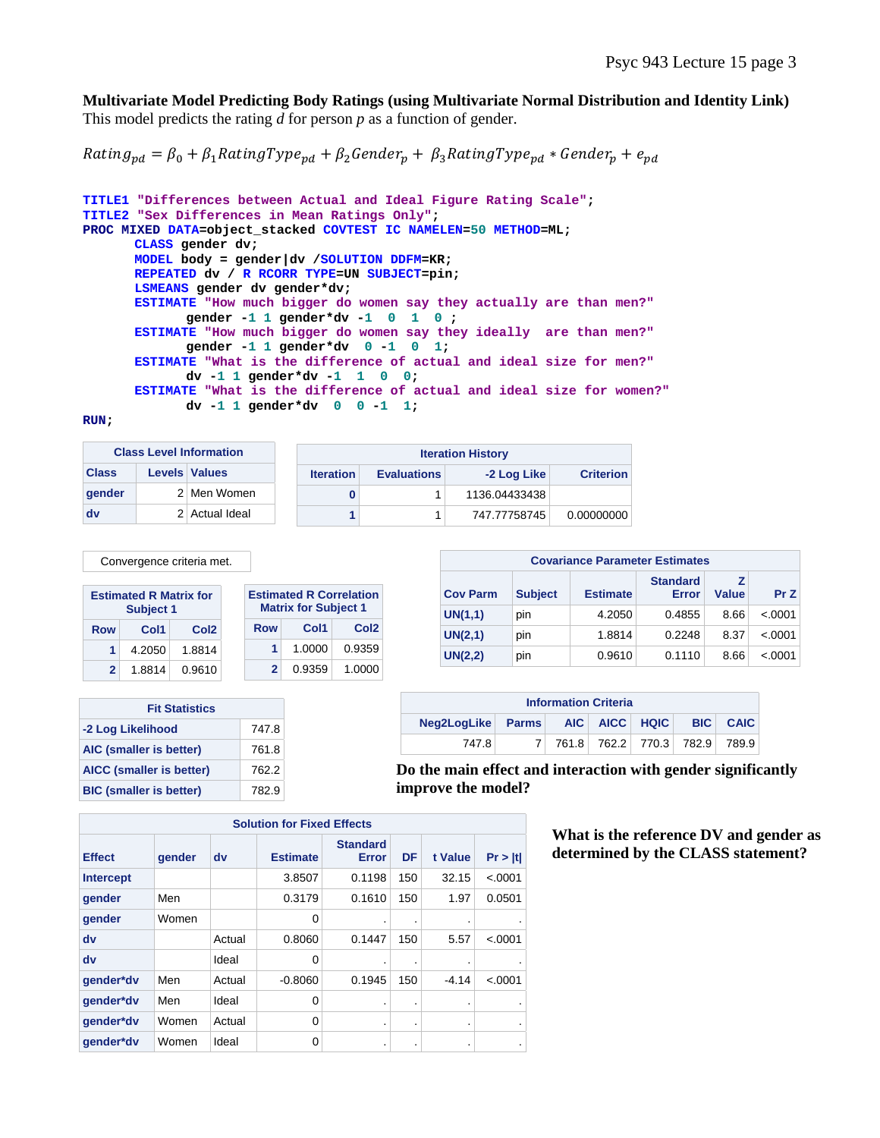### **Multivariate Model Predicting Body Ratings (using Multivariate Normal Distribution and Identity Link)**

This model predicts the rating *d* for person *p* as a function of gender.

 $Rating_{pd} = \beta_0 + \beta_1 RatingType_{pd} + \beta_2 Gender_p + \beta_3 RatingType_{pd} * Gender_p + e_{pd}$ 

```
TITLE1 "Differences between Actual and Ideal Figure Rating Scale"; 
TITLE2 "Sex Differences in Mean Ratings Only"; 
PROC MIXED DATA=object_stacked COVTEST IC NAMELEN=50 METHOD=ML; 
      CLASS gender dv; 
      MODEL body = gender|dv /SOLUTION DDFM=KR; 
      REPEATED dv / R RCORR TYPE=UN SUBJECT=pin; 
       LSMEANS gender dv gender*dv; 
      ESTIMATE "How much bigger do women say they actually are than men?" 
             gender -1 1 gender*dv -1 0 1 0 ; 
      ESTIMATE "How much bigger do women say they ideally are than men?" 
             gender -1 1 gender*dv 0 -1 0 1; 
      ESTIMATE "What is the difference of actual and ideal size for men?" 
            dv -1 1 gender*dv -1 1 0 0; 
      ESTIMATE "What is the difference of actual and ideal size for women?" 
             dv -1 1 gender*dv 0 0 -1 1;
```
#### **RUN;**

| <b>Class Level Information</b> |  | <b>Iteration History</b> |                  |                    |               |                  |  |
|--------------------------------|--|--------------------------|------------------|--------------------|---------------|------------------|--|
| <b>Class</b>                   |  | <b>Levels Values</b>     | <b>Iteration</b> | <b>Evaluations</b> | -2 Log Like   | <b>Criterion</b> |  |
| gender                         |  | 2 Men Women              |                  |                    | 1136.04433438 |                  |  |
| dv                             |  | 2 Actual Ideal           |                  |                    | 747.77758745  | 0.00000000       |  |

Convergence criteria met.

|     | <b>Estimated R Matrix for</b><br>Subject 1 |                  |     | <b>Estimated R Correlation</b><br><b>Matrix for Subject 1</b> |                  |
|-----|--------------------------------------------|------------------|-----|---------------------------------------------------------------|------------------|
| Row | Col1                                       | Col <sub>2</sub> | Row | Col1                                                          | Col <sub>2</sub> |
|     | 4.2050                                     | 1.8814           | 1.  | 1.0000                                                        | 0.9359           |
|     | 1.8814                                     | 0.9610           | 2   | 0.9359                                                        | 1.0000           |

| <b>Fit Statistics</b>          |       |  |  |  |  |
|--------------------------------|-------|--|--|--|--|
| -2 Log Likelihood              | 747.8 |  |  |  |  |
| AIC (smaller is better)        | 761.8 |  |  |  |  |
| AICC (smaller is better)       | 762.2 |  |  |  |  |
| <b>BIC</b> (smaller is better) | 782.9 |  |  |  |  |

| <b>Covariance Parameter Estimates</b> |                |                 |                          |       |          |  |  |  |  |  |
|---------------------------------------|----------------|-----------------|--------------------------|-------|----------|--|--|--|--|--|
| <b>Cov Parm</b>                       | <b>Subject</b> | <b>Estimate</b> | <b>Standard</b><br>Error | Value | Pr Z     |  |  |  |  |  |
| UN(1,1)                               | pin            | 4.2050          | 0.4855                   | 8.66  | < 0.0001 |  |  |  |  |  |
| UN(2,1)                               | pin            | 1.8814          | 0.2248                   | 8.37  | < 0.0001 |  |  |  |  |  |
| UN(2,2)                               | pin            | 0.9610          | 0.1110                   | 8.66  | < 0.0001 |  |  |  |  |  |

| <b>Information Criteria</b>              |  |  |  |  |  |                                 |  |
|------------------------------------------|--|--|--|--|--|---------------------------------|--|
| Neg2LogLike Parms AIC AICC HQIC BIC CAIC |  |  |  |  |  |                                 |  |
| 747.8                                    |  |  |  |  |  | 7 761.8 762.2 770.3 782.9 789.9 |  |

**Do the main effect and interaction with gender significantly improve the model?** 

| <b>Solution for Fixed Effects</b> |        |        |                 |                                 |     |         |                |  |
|-----------------------------------|--------|--------|-----------------|---------------------------------|-----|---------|----------------|--|
| <b>Effect</b>                     | gender | dv     | <b>Estimate</b> | <b>Standard</b><br><b>Error</b> | DF  | t Value | Pr >  t        |  |
| <b>Intercept</b>                  |        |        | 3.8507          | 0.1198                          | 150 | 32.15   | < .0001        |  |
| gender                            | Men    |        | 0.3179          | 0.1610                          | 150 | 1.97    | 0.0501         |  |
| gender                            | Women  |        | 0               |                                 |     |         |                |  |
| dv                                |        | Actual | 0.8060          | 0.1447                          | 150 | 5.57    | < .0001        |  |
| dv                                |        | Ideal  | 0               |                                 |     |         |                |  |
| gender*dv                         | Men    | Actual | $-0.8060$       | 0.1945                          | 150 | $-4.14$ | < .0001        |  |
| gender*dv                         | Men    | Ideal  | 0               |                                 |     |         | $\blacksquare$ |  |
| gender*dv                         | Women  | Actual | 0               |                                 | ٠   |         | $\bullet$      |  |
| gender*dv                         | Women  | Ideal  | 0               | ٠                               | ٠   | ٠       | $\blacksquare$ |  |

**What is the reference DV and gender as determined by the CLASS statement?**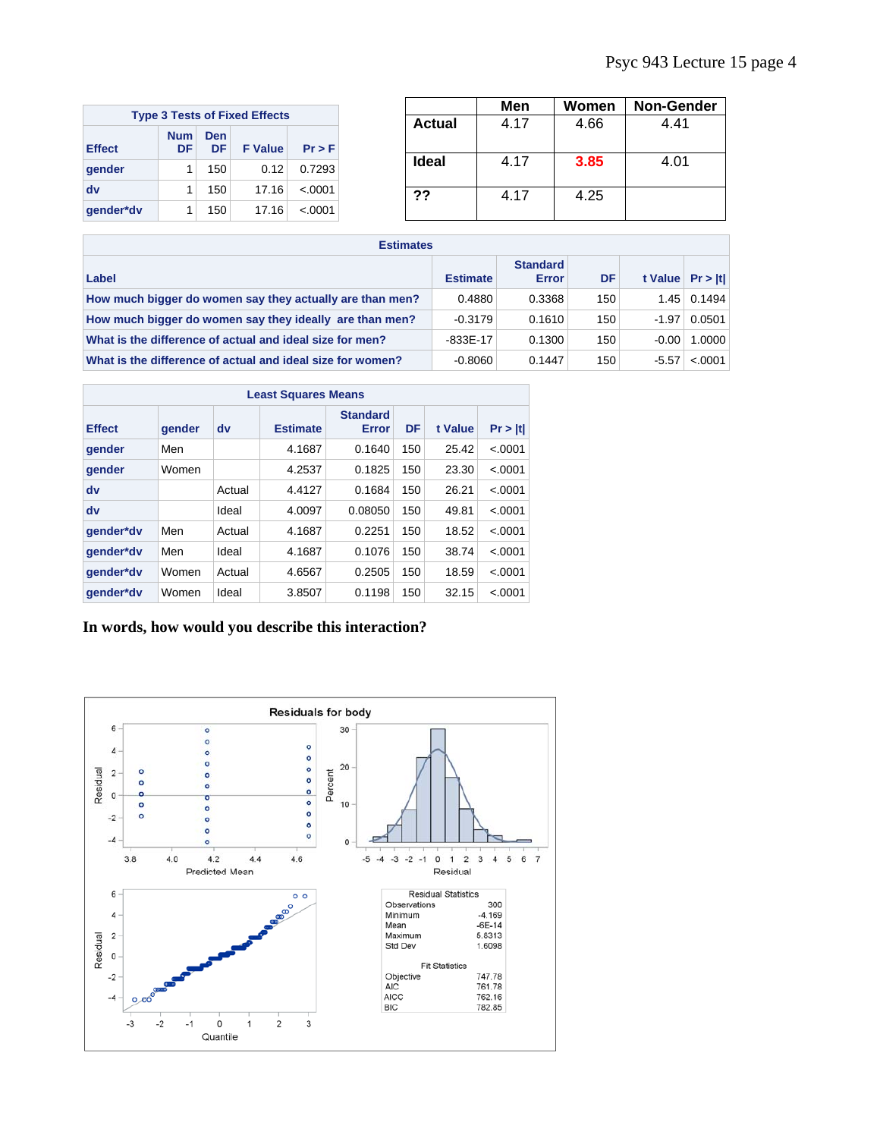| <b>Type 3 Tests of Fixed Effects</b> |                  |           |                |          |  |  |  |  |
|--------------------------------------|------------------|-----------|----------------|----------|--|--|--|--|
| <b>Effect</b>                        | <b>Num</b><br>DF | Den<br>DF | <b>F</b> Value | Pr > F   |  |  |  |  |
| gender                               | 1                | 150       | 0.12           | 0.7293   |  |  |  |  |
| dv                                   | 1                | 150       | 17.16          | $-.0001$ |  |  |  |  |
| gender*dv                            |                  | 150       | 17.16          | $-.0001$ |  |  |  |  |

|        | Men  | Women | <b>Non-Gender</b> |
|--------|------|-------|-------------------|
| Actual | 4.17 | 4.66  | 4.41              |
| Ideal  | 4.17 | 3.85  | 4.01              |
| ??     | 4.17 | 4.25  |                   |

| <b>Estimates</b>                                           |                 |                                 |     |                    |                    |  |  |  |
|------------------------------------------------------------|-----------------|---------------------------------|-----|--------------------|--------------------|--|--|--|
| Label                                                      | <b>Estimate</b> | <b>Standard</b><br><b>Error</b> | DF  | t Value $Pr >  t $ |                    |  |  |  |
| How much bigger do women say they actually are than men?   | 0.4880          | 0.3368                          | 150 |                    | $1.45 \mid 0.1494$ |  |  |  |
| How much bigger do women say they ideally are than men?    | $-0.3179$       | 0.1610                          | 150 | $-1.97$            | 0.0501             |  |  |  |
| What is the difference of actual and ideal size for men?   | -833E-17        | 0.1300                          | 150 | $-0.00$            | 1.0000             |  |  |  |
| What is the difference of actual and ideal size for women? | $-0.8060$       | 0.1447                          | 150 | $-5.57$            | < .0001            |  |  |  |

| <b>Least Squares Means</b> |        |        |                 |                                 |     |         |          |  |
|----------------------------|--------|--------|-----------------|---------------------------------|-----|---------|----------|--|
| <b>Effect</b>              | gender | dv     | <b>Estimate</b> | <b>Standard</b><br><b>Error</b> | DF  | t Value | Pr >  t  |  |
| gender                     | Men    |        | 4.1687          | 0.1640                          | 150 | 25.42   | $-.0001$ |  |
| gender                     | Women  |        | 4.2537          | 0.1825                          | 150 | 23.30   | $-.0001$ |  |
| dv                         |        | Actual | 4.4127          | 0.1684                          | 150 | 26.21   | $-.0001$ |  |
| dv                         |        | Ideal  | 4.0097          | 0.08050                         | 150 | 49.81   | $-.0001$ |  |
| gender*dv                  | Men    | Actual | 4.1687          | 0.2251                          | 150 | 18.52   | $-.0001$ |  |
| gender*dv                  | Men    | Ideal  | 4.1687          | 0.1076                          | 150 | 38.74   | $-.0001$ |  |
| gender*dv                  | Women  | Actual | 4.6567          | 0.2505                          | 150 | 18.59   | $-.0001$ |  |
| gender*dv                  | Women  | Ideal  | 3.8507          | 0.1198                          | 150 | 32.15   | $-.0001$ |  |

# **In words, how would you describe this interaction?**

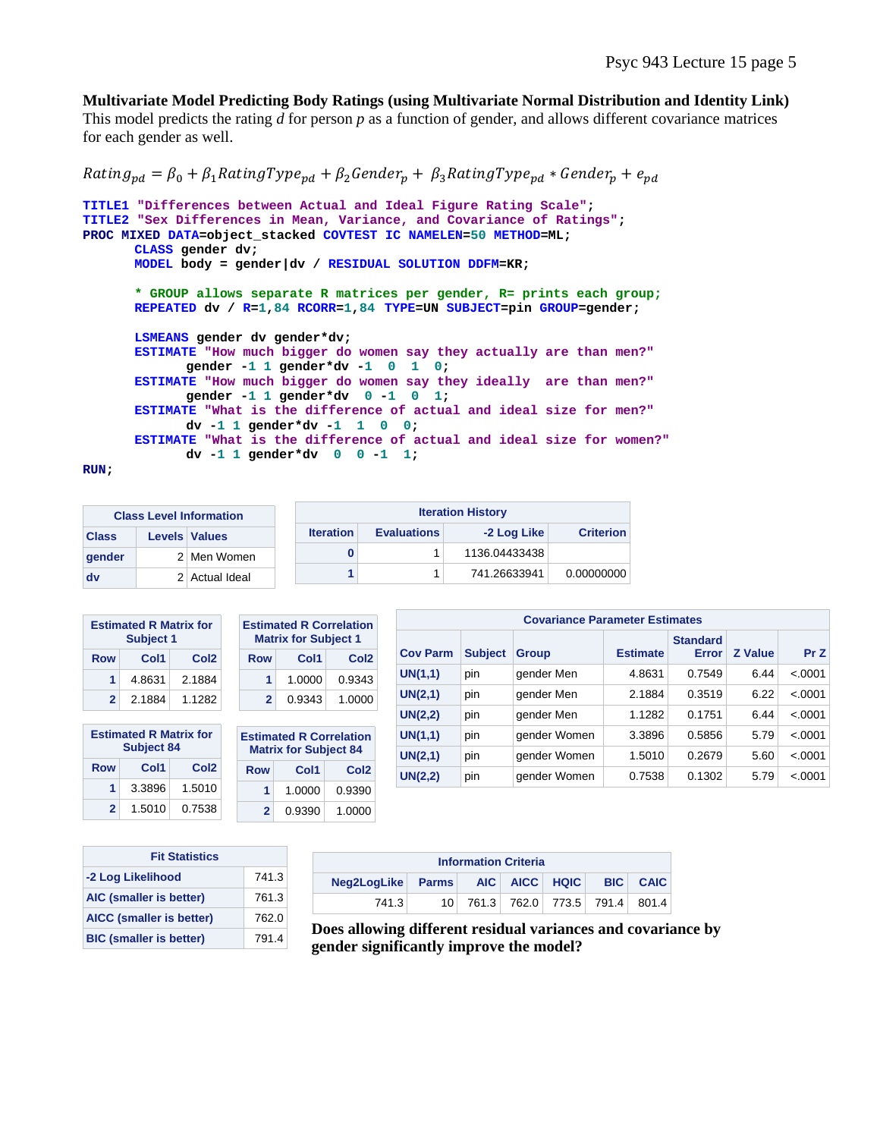**Multivariate Model Predicting Body Ratings (using Multivariate Normal Distribution and Identity Link)** 

This model predicts the rating *d* for person *p* as a function of gender, and allows different covariance matrices for each gender as well.

```
Rating_{\text{nd}} = \beta_0 + \beta_1 RatingType_{\text{nd}} + \beta_2 Gender_{\text{d}} + \beta_3 RatingType_{\text{nd}} * Gender_{\text{d}} + e_{\text{nd}}
```

```
TITLE1 "Differences between Actual and Ideal Figure Rating Scale"; 
TITLE2 "Sex Differences in Mean, Variance, and Covariance of Ratings"; 
PROC MIXED DATA=object_stacked COVTEST IC NAMELEN=50 METHOD=ML; 
      CLASS gender dv; 
      MODEL body = gender|dv / RESIDUAL SOLUTION DDFM=KR; 
      * GROUP allows separate R matrices per gender, R= prints each group;
      REPEATED dv / R=1,84 RCORR=1,84 TYPE=UN SUBJECT=pin GROUP=gender; 
       LSMEANS gender dv gender*dv; 
      ESTIMATE "How much bigger do women say they actually are than men?" 
             gender -1 1 gender*dv -1 0 1 0; 
      ESTIMATE "How much bigger do women say they ideally are than men?" 
             gender -1 1 gender*dv 0 -1 0 1; 
      ESTIMATE "What is the difference of actual and ideal size for men?" 
            dv -1 1 gender*dv -1 1 0 0; 
      ESTIMATE "What is the difference of actual and ideal size for women?" 
             dv -1 1 gender*dv 0 0 -1 1;
```

```
RUN;
```

|              | <b>Class Level Information</b> | <b>Iteration History</b> |                    |               |                  |
|--------------|--------------------------------|--------------------------|--------------------|---------------|------------------|
| <b>Class</b> | <b>Levels Values</b>           | <b>Iteration</b>         | <b>Evaluations</b> | -2 Log Like   | <b>Criterion</b> |
| gender       | 2 Men Women                    |                          |                    | 1136.04433438 |                  |
| <b>dv</b>    | 2 Actual Ideal                 |                          |                    | 741.26633941  | 0.00000000       |

|                | <b>Estimated R Matrix for</b><br>Subject 1 |                  |  | <b>Estimated R Correlation</b><br><b>Matrix for Subject 1</b> |        |                  |
|----------------|--------------------------------------------|------------------|--|---------------------------------------------------------------|--------|------------------|
| Row            | Col1                                       | Col <sub>2</sub> |  | Row                                                           | Col1   | Col <sub>2</sub> |
|                | 4.8631                                     | 2.1884           |  |                                                               | 1.0000 | 0.9343           |
| $\overline{2}$ | 2.1884                                     | 1.1282           |  |                                                               | 0.9343 | 1.0000           |

| <b>Estimated R Matrix for</b><br><b>Subject 84</b> |        |                  |  |  |
|----------------------------------------------------|--------|------------------|--|--|
| Row                                                | Col1   | Col <sub>2</sub> |  |  |
| 1                                                  | 3.3896 | 1.5010           |  |  |
| $\mathbf{z}$                                       | 1.5010 | 0.7538           |  |  |

|                                                                | 1.0000 | 0.9343           |  |  |  |  |
|----------------------------------------------------------------|--------|------------------|--|--|--|--|
| $\mathbf{2}$                                                   | 0.9343 | 1.0000           |  |  |  |  |
| <b>Estimated R Correlation</b><br><b>Matrix for Subject 84</b> |        |                  |  |  |  |  |
|                                                                |        |                  |  |  |  |  |
| Row                                                            | Col1   | Col <sub>2</sub> |  |  |  |  |
| 1                                                              | 1.0000 | 0.9390           |  |  |  |  |

| <b>Covariance Parameter Estimates</b> |                |              |                 |                          |                |         |  |  |
|---------------------------------------|----------------|--------------|-----------------|--------------------------|----------------|---------|--|--|
| <b>Cov Parm</b>                       | <b>Subject</b> | <b>Group</b> | <b>Estimate</b> | <b>Standard</b><br>Error | <b>Z</b> Value | Pr Z    |  |  |
| UN(1,1)                               | pin            | gender Men   | 4.8631          | 0.7549                   | 6.44           | < .0001 |  |  |
| UN(2,1)                               | pin            | gender Men   | 2.1884          | 0.3519                   | 6.22           | < .0001 |  |  |
| UN(2,2)                               | pin            | gender Men   | 1.1282          | 0.1751                   | 6.44           | < .0001 |  |  |
| UN(1,1)                               | pin            | gender Women | 3.3896          | 0.5856                   | 5.79           | < .0001 |  |  |
| UN(2,1)                               | pin            | gender Women | 1.5010          | 0.2679                   | 5.60           | < .0001 |  |  |
| UN(2,2)                               | pin            | gender Women | 0.7538          | 0.1302                   | 5.79           | < .0001 |  |  |

| <b>Fit Statistics</b>          |       |  |  |  |  |
|--------------------------------|-------|--|--|--|--|
| -2 Log Likelihood              | 741.3 |  |  |  |  |
| AIC (smaller is better)        | 761.3 |  |  |  |  |
| AICC (smaller is better)       | 762.0 |  |  |  |  |
| <b>BIC (smaller is better)</b> | 791.4 |  |  |  |  |

| <b>Information Criteria</b>              |  |  |  |  |                                  |  |  |
|------------------------------------------|--|--|--|--|----------------------------------|--|--|
| Neg2LogLike Parms AIC AICC HQIC BIC CAIC |  |  |  |  |                                  |  |  |
| 741.3                                    |  |  |  |  | 10 761.3 762.0 773.5 791.4 801.4 |  |  |

**Does allowing different residual variances and covariance by gender significantly improve the model?**